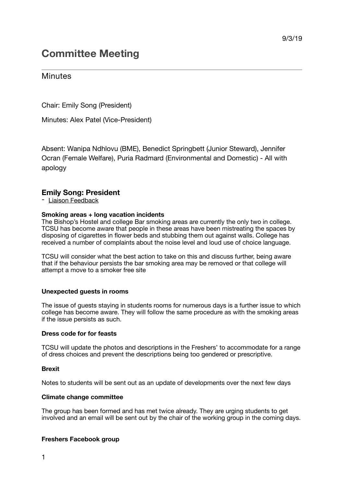# **Committee Meeting**

## **Minutes**

Chair: Emily Song (President)

Minutes: Alex Patel (Vice-President)

Absent: Wanipa Ndhlovu (BME), Benedict Springbett (Junior Steward), Jennifer Ocran (Female Welfare), Puria Radmard (Environmental and Domestic) - All with apology

## **Emily Song: President**

- Liaison Feedback

## **Smoking areas + long vacation incidents**

The Bishop's Hostel and college Bar smoking areas are currently the only two in college. TCSU has become aware that people in these areas have been mistreating the spaces by disposing of cigarettes in flower beds and stubbing them out against walls. College has received a number of complaints about the noise level and loud use of choice language.

TCSU will consider what the best action to take on this and discuss further, being aware that if the behaviour persists the bar smoking area may be removed or that college will attempt a move to a smoker free site

## **Unexpected guests in rooms**

The issue of guests staying in students rooms for numerous days is a further issue to which college has become aware. They will follow the same procedure as with the smoking areas if the issue persists as such.

## **Dress code for for feasts**

TCSU will update the photos and descriptions in the Freshers' to accommodate for a range of dress choices and prevent the descriptions being too gendered or prescriptive.

## **Brexit**

Notes to students will be sent out as an update of developments over the next few days

## **Climate change committee**

The group has been formed and has met twice already. They are urging students to get involved and an email will be sent out by the chair of the working group in the coming days.

## **Freshers Facebook group**